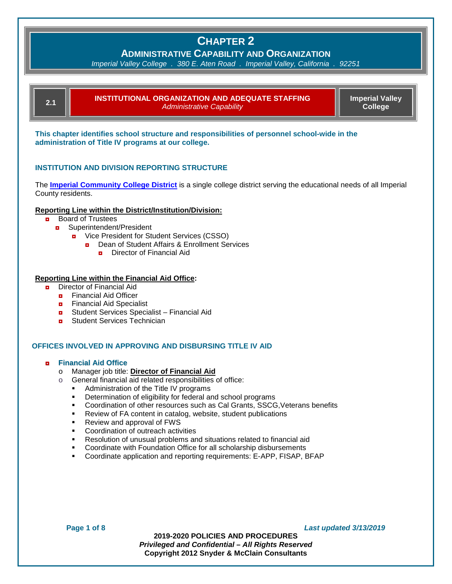**ADMINISTRATIVE CAPABILITY AND ORGANIZATION**

*Imperial Valley College . 380 E. Aten Road . Imperial Valley, California . 92251*

**2.1 INSTITUTIONAL ORGANIZATION AND ADEQUATE STAFFING**  *Administrative Capability*

**Imperial Valley College**

**This chapter identifies school structure and responsibilities of personnel school-wide in the administration of Title IV programs at our college.**

### **INSTITUTION AND DIVISION REPORTING STRUCTURE**

The **[Imperial Community College District](http://californiacommunitycolleges.cccco.edu/collegeDetails.aspx?collegeID=31&txt=Imperial%20Valley%20College)** is a single college district serving the educational needs of all Imperial County residents.

#### **Reporting Line within the District/Institution/Division:**

- **<u>n</u>** Board of Trustees
	- ◘ Superintendent/President
		- ◘ Vice President for Student Services (CSSO)
			- Dean of Student Affairs & Enrollment Services
				- **<u>n</u>** Director of Financial Aid

### **Reporting Line within the Financial Aid Office:**

- **<u>n</u>** Director of Financial Aid
	- **<u>n</u>** Financial Aid Officer
	- **<u>n</u>** Financial Aid Specialist
	- ◘ Student Services Specialist Financial Aid
	- **D** Student Services Technician

#### **OFFICES INVOLVED IN APPROVING AND DISBURSING TITLE IV AID**

#### ◘ **Financial Aid Office**

- o Manager job title: **Director of Financial Aid**
	- General financial aid related responsibilities of office:
		- Administration of the Title IV programs<br>• Determination of eligibility for foderal and
		- Determination of eligibility for federal and school programs
		- Coordination of other resources such as Cal Grants, SSCG,Veterans benefits
		- **Review of FA content in catalog, website, student publications**
		- Review and approval of FWS
		- **Coordination of outreach activities**
		- Resolution of unusual problems and situations related to financial aid
		- Coordinate with Foundation Office for all scholarship disbursements
		- Coordinate application and reporting requirements: E-APP, FISAP, BFAP

**Page 1 of 8** *Last updated 3/13/2019*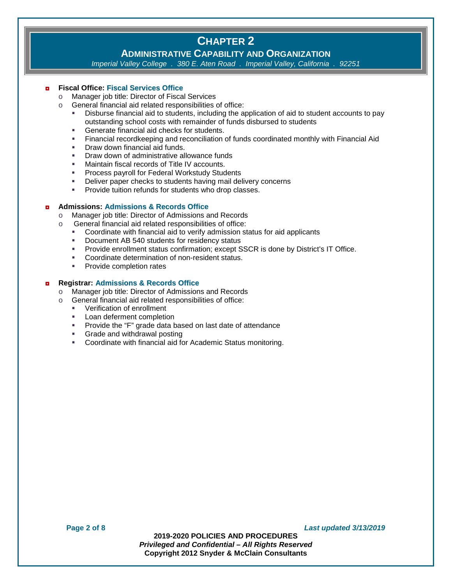## **ADMINISTRATIVE CAPABILITY AND ORGANIZATION**

*Imperial Valley College . 380 E. Aten Road . Imperial Valley, California . 92251*

#### ◘ **Fiscal Office: Fiscal Services Office**

- o Manager job title: Director of Fiscal Services<br>
o General financial aid related responsibilities o
- General financial aid related responsibilities of office:
	- Disburse financial aid to students, including the application of aid to student accounts to pay outstanding school costs with remainder of funds disbursed to students
	- Generate financial aid checks for students.
	- Financial recordkeeping and reconciliation of funds coordinated monthly with Financial Aid
	- **Draw down financial aid funds.**
	- **Draw down of administrative allowance funds**
	- Maintain fiscal records of Title IV accounts.
	- **Process payroll for Federal Workstudy Students**
	- Deliver paper checks to students having mail delivery concerns
	- **Provide tuition refunds for students who drop classes.**

### ◘ **Admissions: Admissions & Records Office**

- o Manager job title: Director of Admissions and Records<br>
o General financial aid related responsibilities of office:
	- General financial aid related responsibilities of office:
		- Coordinate with financial aid to verify admission status for aid applicants
		- **Document AB 540 students for residency status**
		- Provide enrollment status confirmation; except SSCR is done by District's IT Office.
		- Coordinate determination of non-resident status.
		- **Provide completion rates**

### ◘ **Registrar: Admissions & Records Office**

- Manager job title: Director of Admissions and Records<br>○ General financial aid related responsibilities of office:
	- General financial aid related responsibilities of office:
		- Verification of enrollment
		- Loan deferment completion
		- **Provide the "F" grade data based on last date of attendance**
		- **Grade and withdrawal posting**
		- Coordinate with financial aid for Academic Status monitoring.

**Page 2 of 8** *Last updated 3/13/2019*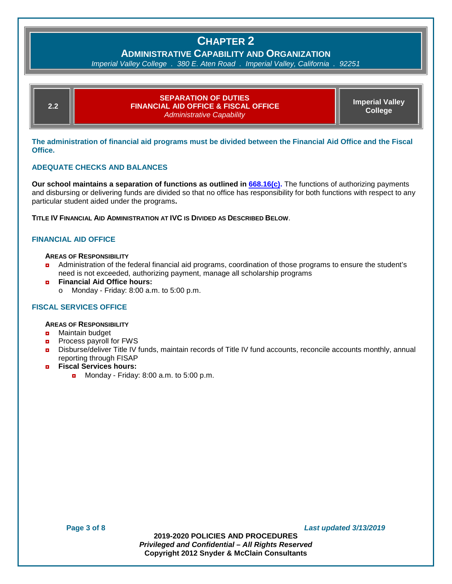**ADMINISTRATIVE CAPABILITY AND ORGANIZATION**

*Imperial Valley College . 380 E. Aten Road . Imperial Valley, California . 92251*

| 2.2 | <b>SEPARATION OF DUTIES</b><br>FINANCIAL AID OFFICE & FISCAL OFFICE !<br><b>Administrative Capability</b> | <b>Imperial Valley</b><br>College |
|-----|-----------------------------------------------------------------------------------------------------------|-----------------------------------|
|     |                                                                                                           |                                   |

**The administration of financial aid programs must be divided between the Financial Aid Office and the Fiscal Office.**

#### **ADEQUATE CHECKS AND BALANCES**

**Our school maintains a separation of functions as outlined in [668.16\(c\).](http://www.ecfr.gov/cgi-bin/text-idx?SID=3c6e5dac3cdfc3903c17feb19c4870c8&mc=true&node=se34.3.668_116&rgn=div8)** The functions of authorizing payments and disbursing or delivering funds are divided so that no office has responsibility for both functions with respect to any particular student aided under the programs**.**

**TITLE IV FINANCIAL AID ADMINISTRATION AT IVC IS DIVIDED AS DESCRIBED BELOW**.

#### **FINANCIAL AID OFFICE**

#### **AREAS OF RESPONSIBILITY**

- ◘ Administration of the federal financial aid programs, coordination of those programs to ensure the student's need is not exceeded, authorizing payment, manage all scholarship programs
- ◘ **Financial Aid Office hours:**  $\circ$  Monday - Friday: 8:00 a.m. to 5:00 p.m.

#### **FISCAL SERVICES OFFICE**

#### **AREAS OF RESPONSIBILITY**

- **<u>n</u>** Maintain budget
- **D** Process payroll for FWS
- ◘ Disburse/deliver Title IV funds, maintain records of Title IV fund accounts, reconcile accounts monthly, annual reporting through FISAP
- ◘ **Fiscal Services hours:**
	- **n** Monday Friday: 8:00 a.m. to  $5:00$  p.m.

**Page 3 of 8** *Last updated 3/13/2019*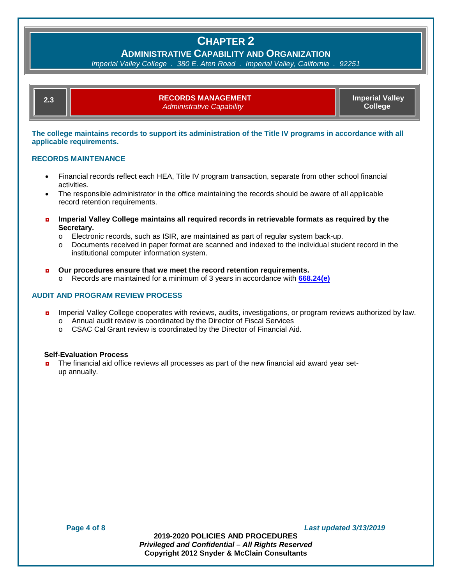### **ADMINISTRATIVE CAPABILITY AND ORGANIZATION**

*Imperial Valley College . 380 E. Aten Road . Imperial Valley, California . 92251*

| <b>RECORDS MANAGEMENT</b>        | <b>Imperial Valley</b> |
|----------------------------------|------------------------|
| <b>Administrative Capability</b> | College <sup>1</sup>   |

**The college maintains records to support its administration of the Title IV programs in accordance with all applicable requirements.** 

### **RECORDS MAINTENANCE**

- Financial records reflect each HEA, Title IV program transaction, separate from other school financial activities.
- The responsible administrator in the office maintaining the records should be aware of all applicable record retention requirements.
- ◘ **Imperial Valley College maintains all required records in retrievable formats as required by the Secretary.** 
	- o Electronic records, such as ISIR, are maintained as part of regular system back-up.<br>
	o Documents received in paper format are scanned and indexed to the individual stud
	- Documents received in paper format are scanned and indexed to the individual student record in the institutional computer information system.

#### ◘ **Our procedures ensure that we meet the record retention requirements.**

o Records are maintained for a minimum of 3 years in accordance with **[668.24\(e\)](http://www.ecfr.gov/cgi-bin/text-idx?SID=3c6e5dac3cdfc3903c17feb19c4870c8&mc=true&node=se34.3.668_124&rgn=div8)**

#### **AUDIT AND PROGRAM REVIEW PROCESS**

- **n** Imperial Valley College cooperates with reviews, audits, investigations, or program reviews authorized by law. o Annual audit review is coordinated by the Director of Fiscal Services
	- o CSAC Cal Grant review is coordinated by the Director of Financial Aid.

#### **Self-Evaluation Process**

◘ The financial aid office reviews all processes as part of the new financial aid award year setup annually.

**Page 4 of 8** *Last updated 3/13/2019*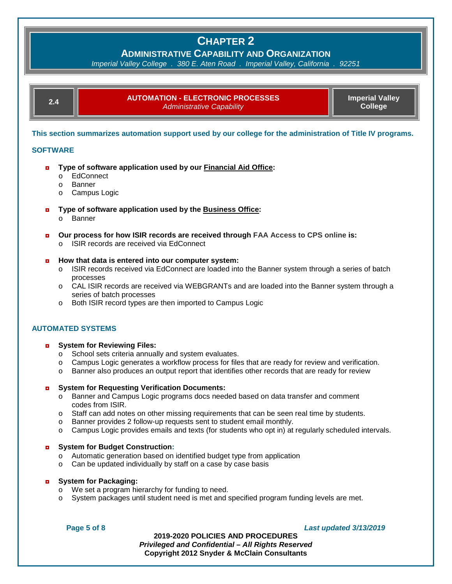**ADMINISTRATIVE CAPABILITY AND ORGANIZATION**

*Imperial Valley College . 380 E. Aten Road . Imperial Valley, California . 92251*

| 2.4 | <b>AUTOMATION - ELECTRONIC PROCESSES</b><br><b>Administrative Capability</b> | <b>Imperial Valley</b><br>College <sup>1</sup> |
|-----|------------------------------------------------------------------------------|------------------------------------------------|
|     |                                                                              |                                                |

**This section summarizes automation support used by our college for the administration of Title IV programs.**

#### **SOFTWARE**

- ◘ **Type of software application used by our Financial Aid Office:** 
	- o EdConnect
	- o Banner
	- o Campus Logic
- ◘ **Type of software application used by the Business Office:**
	- o Banner
- ◘ **Our process for how ISIR records are received through FAA Access to CPS online is:**
	- o ISIR records are received via EdConnect

#### ◘ **How that data is entered into our computer system:**

- o ISIR records received via EdConnect are loaded into the Banner system through a series of batch processes
- o CAL ISIR records are received via WEBGRANTs and are loaded into the Banner system through a series of batch processes
- o Both ISIR record types are then imported to Campus Logic

#### **AUTOMATED SYSTEMS**

#### ◘ **System for Reviewing Files:**

- o School sets criteria annually and system evaluates.
- $\circ$  Campus Logic generates a workflow process for files that are ready for review and verification.<br>  $\circ$  Banner also produces an output report that identifies other records that are ready for review
- Banner also produces an output report that identifies other records that are ready for review

#### ◘ **System for Requesting Verification Documents:**

- o Banner and Campus Logic programs docs needed based on data transfer and comment codes from ISIR.
- o Staff can add notes on other missing requirements that can be seen real time by students.
- o Banner provides 2 follow-up requests sent to student email monthly.
- o Campus Logic provides emails and texts (for students who opt in) at regularly scheduled intervals.

#### ◘ **System for Budget Construction:**

- o Automatic generation based on identified budget type from application
- o Can be updated individually by staff on a case by case basis

#### ◘ **System for Packaging:**

- o We set a program hierarchy for funding to need.
- o System packages until student need is met and specified program funding levels are met.

#### **Page 5 of 8** *Last updated 3/13/2019*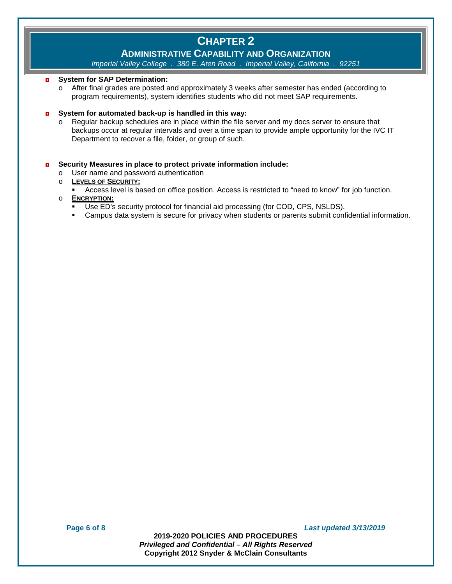## **ADMINISTRATIVE CAPABILITY AND ORGANIZATION**

*Imperial Valley College . 380 E. Aten Road . Imperial Valley, California . 92251*

#### ◘ **System for SAP Determination:**

o After final grades are posted and approximately 3 weeks after semester has ended (according to program requirements), system identifies students who did not meet SAP requirements.

#### ◘ **System for automated back-up is handled in this way:**

o Regular backup schedules are in place within the file server and my docs server to ensure that backups occur at regular intervals and over a time span to provide ample opportunity for the IVC IT Department to recover a file, folder, or group of such.

### ◘ **Security Measures in place to protect private information include:**

- o User name and password authentication
- o **LEVELS OF SECURITY:** 
	- Access level is based on office position. Access is restricted to "need to know" for job function.
- o **ENCRYPTION:**
	- Use ED's security protocol for financial aid processing (for COD, CPS, NSLDS).
	- Campus data system is secure for privacy when students or parents submit confidential information.

**Page 6 of 8** *Last updated 3/13/2019*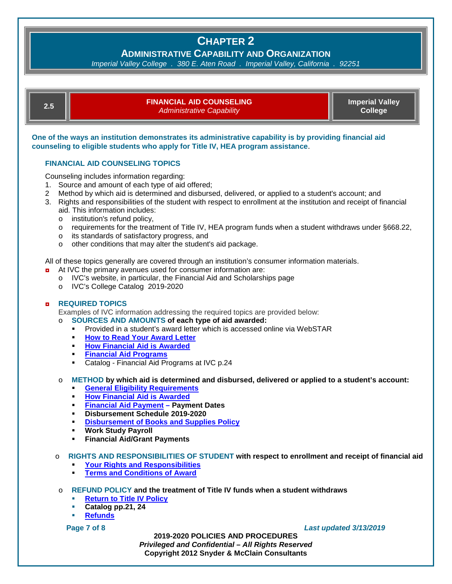**ADMINISTRATIVE CAPABILITY AND ORGANIZATION**

*Imperial Valley College . 380 E. Aten Road . Imperial Valley, California . 92251*

| 2.5 | <b>FINANCIAL AID COUNSELING</b><br>Administrative Capability | <b>Imperial Valley</b><br><b>College</b> |
|-----|--------------------------------------------------------------|------------------------------------------|
|     |                                                              |                                          |

**One of the ways an institution demonstrates its administrative capability is by providing financial aid counseling to eligible students who apply for Title IV, HEA program assistance**.

### **FINANCIAL AID COUNSELING TOPICS**

Counseling includes information regarding:

- 1. Source and amount of each type of aid offered;
- 2 Method by which aid is determined and disbursed, delivered, or applied to a student's account; and
- 3. Rights and responsibilities of the student with respect to enrollment at the institution and receipt of financial aid. This information includes:
	- o institution's refund policy,
	- $\circ$  requirements for the treatment of Title IV, HEA program funds when a student withdraws under §668.22,
	- o its standards of satisfactory progress, and
	- o other conditions that may alter the student's aid package.

All of these topics generally are covered through an institution's consumer information materials.

- ◘ At IVC the primary avenues used for consumer information are:
	- o [IVC's website,](http://www.imperial.edu/) in particular, the [Financial Aid and Scholarships](http://www.imperial.edu/students/financial-aid-and-scholarships/) page
	- o [IVC's College Catalog](https://www.imperial.edu/courses-and-programs/catalogs-and-schedules/#catalogs_section) 2019-2020

#### ◘ **REQUIRED TOPICS**

Examples of IVC information addressing the required topics are provided below:

- o **SOURCES AND AMOUNTS of each type of aid awarded:** 
	- Provided in a student's award letter which is accessed online via WebSTAR
	- **[How to Read Your](http://www.imperial.edu/students/financial-aid-and-scholarships/how-to-read-your-award-letter/) Award Letter**<br>**How Financial Aid is Awarded**
	- **[How Financial Aid is Awarded](http://www.imperial.edu/students/financial-aid-and-scholarships/applying-for-financial-aid/howfinancialaidisawarded/)**
	- **[Financial Aid Programs](http://www.imperial.edu/students/financial-aid-and-scholarships/financial-aid-programs/)**
	- Catalog Financial Aid Programs at IVC p.24
- o **METHOD by which aid is determined and disbursed, delivered or applied to a student's account:**
	- **[General Eligibility Requirements](http://www.imperial.edu/students/financial-aid-and-scholarships/general-eligibility-requirements/)**
	- **[How Financial Aid is Awarded](http://www.imperial.edu/students/financial-aid-and-scholarships/applying-for-financial-aid/howfinancialaidisawarded/)**
	- **[Financial Aid Payment](http://www.imperial.edu/students/financial-aid-and-scholarships/financial-aid-disbursement/) – Payment Dates**
	- **Disbursement Schedule 2019-2020**
	- **[Disbursement of Books and Supplies Policy](http://www.imperial.edu/students/financial-aid-and-scholarships/financial-aid-disbursement/disbursementofbooksandsuppliespolicy/)**
	- **Work Study Payroll**
	- **Financial Aid/Grant Payments**
- o **RIGHTS AND RESPONSIBILITIES OF STUDENT with respect to enrollment and receipt of financial aid**
	- **[Your Rights and Responsibilities](http://www.imperial.edu/students/financial-aid-and-scholarships/applying-for-financial-aid/yourrightsandresponsibilities/)**
	- **[Terms and Conditions of Award](http://www.imperial.edu/students/financial-aid-and-scholarships/student-terms-and-conditions-of-award/)**
- o **REFUND POLICY and the treatment of Title IV funds when a student withdraws**
	- **Return to Title IV Policy**<br>**Retains an 21 24**
	- **Catalog pp.21, 24**
	- **[Refunds](http://www.imperial.edu/faculty-and-staff/business-services/cashier-and-student-fees/)**

#### **Page 7 of 8** *Last updated 3/13/2019*